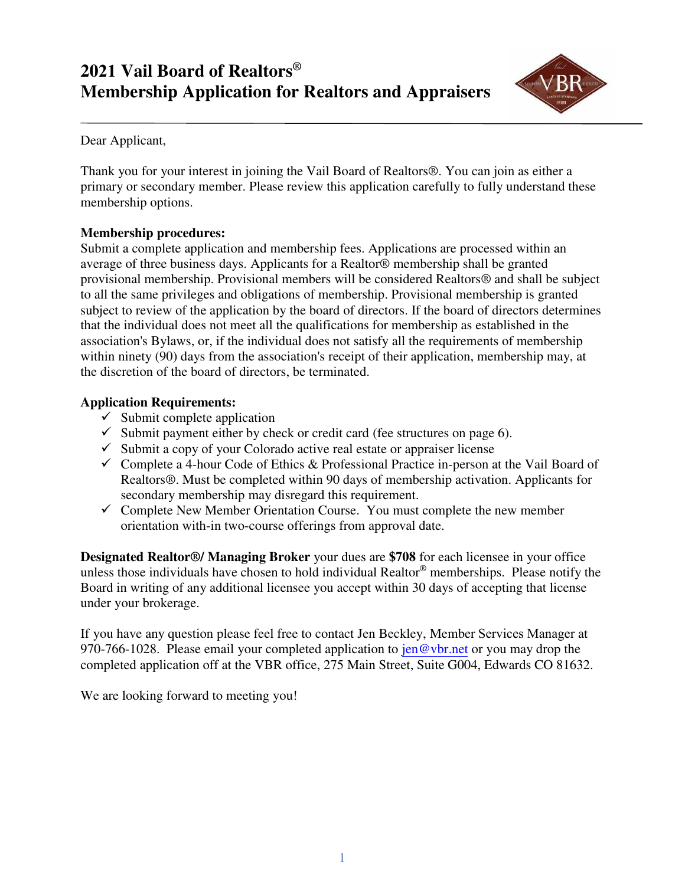# **2021 Vail Board of Realtors® Membership Application for Realtors and Appraisers**



Dear Applicant,

Thank you for your interest in joining the Vail Board of Realtors®. You can join as either a primary or secondary member. Please review this application carefully to fully understand these membership options.

#### **Membership procedures:**

Submit a complete application and membership fees. Applications are processed within an average of three business days. Applicants for a Realtor® membership shall be granted provisional membership. Provisional members will be considered Realtors® and shall be subject to all the same privileges and obligations of membership. Provisional membership is granted subject to review of the application by the board of directors. If the board of directors determines that the individual does not meet all the qualifications for membership as established in the association's Bylaws, or, if the individual does not satisfy all the requirements of membership within ninety (90) days from the association's receipt of their application, membership may, at the discretion of the board of directors, be terminated.

#### **Application Requirements:**

- $\checkmark$  Submit complete application
- $\checkmark$  Submit payment either by check or credit card (fee structures on page 6).
- $\checkmark$  Submit a copy of your Colorado active real estate or appraiser license
- ✓ Complete a 4-hour Code of Ethics & Professional Practice in-person at the Vail Board of Realtors®. Must be completed within 90 days of membership activation. Applicants for secondary membership may disregard this requirement.
- $\checkmark$  Complete New Member Orientation Course. You must complete the new member orientation with-in two-course offerings from approval date.

**Designated Realtor®/ Managing Broker** your dues are **\$708** for each licensee in your office unless those individuals have chosen to hold individual Realtor® memberships. Please notify the Board in writing of any additional licensee you accept within 30 days of accepting that license under your brokerage.

If you have any question please feel free to contact Jen Beckley, Member Services Manager at 970-766-1028. Please email your completed application to  $\frac{\text{jen}\omega_{\text{vbr.net}}}{\text{en}\omega_{\text{vbr.net}}}$  or you may drop the completed application off at the VBR office, 275 Main Street, Suite G004, Edwards CO 81632.

We are looking forward to meeting you!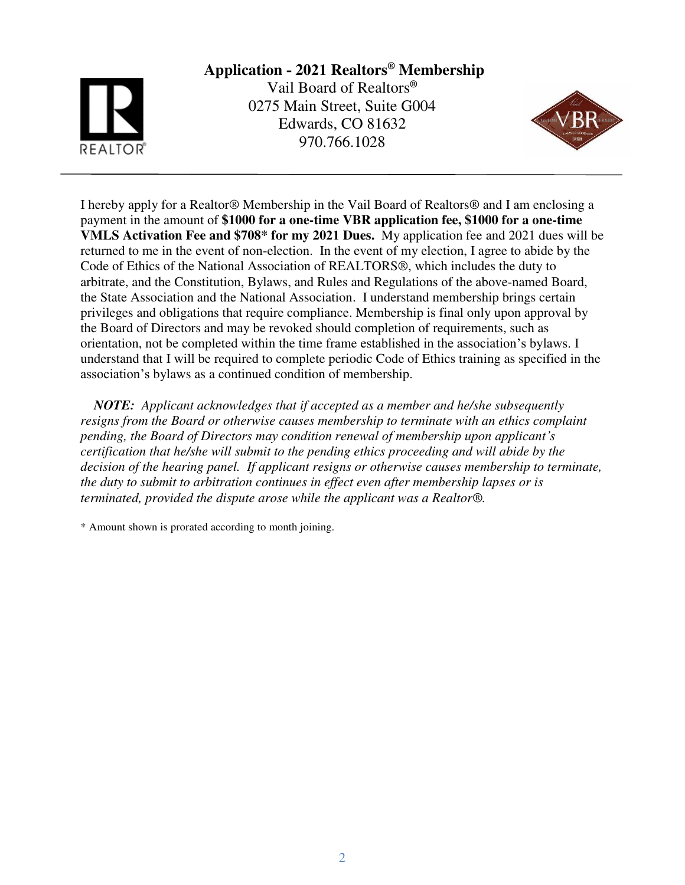# **Application - 2021 Realtors® Membership**

Vail Board of Realtors**®** 0275 Main Street, Suite G004 Edwards, CO 81632 970.766.1028



I hereby apply for a Realtor® Membership in the Vail Board of Realtors® and I am enclosing a payment in the amount of **\$1000 for a one-time VBR application fee, \$1000 for a one-time VMLS Activation Fee and \$708\* for my 2021 Dues.** My application fee and 2021 dues will be returned to me in the event of non-election. In the event of my election, I agree to abide by the Code of Ethics of the National Association of REALTORS®, which includes the duty to arbitrate, and the Constitution, Bylaws, and Rules and Regulations of the above-named Board, the State Association and the National Association. I understand membership brings certain privileges and obligations that require compliance. Membership is final only upon approval by the Board of Directors and may be revoked should completion of requirements, such as orientation, not be completed within the time frame established in the association's bylaws. I understand that I will be required to complete periodic Code of Ethics training as specified in the association's bylaws as a continued condition of membership.

 *NOTE: Applicant acknowledges that if accepted as a member and he/she subsequently resigns from the Board or otherwise causes membership to terminate with an ethics complaint pending, the Board of Directors may condition renewal of membership upon applicant's certification that he/she will submit to the pending ethics proceeding and will abide by the decision of the hearing panel. If applicant resigns or otherwise causes membership to terminate, the duty to submit to arbitration continues in effect even after membership lapses or is terminated, provided the dispute arose while the applicant was a Realtor®.*

\* Amount shown is prorated according to month joining.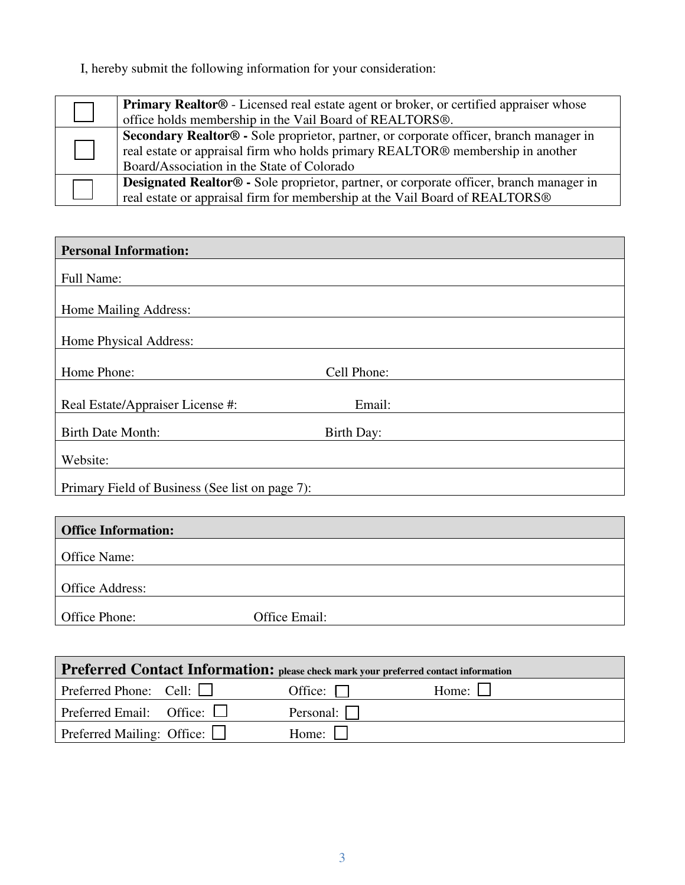I, hereby submit the following information for your consideration:

| <b>Primary Realtor</b> ® - Licensed real estate agent or broker, or certified appraiser whose  |
|------------------------------------------------------------------------------------------------|
| office holds membership in the Vail Board of REALTORS <sup>®</sup> .                           |
| Secondary Realtor® - Sole proprietor, partner, or corporate officer, branch manager in         |
| real estate or appraisal firm who holds primary REALTOR® membership in another                 |
| Board/Association in the State of Colorado                                                     |
| <b>Designated Realtor®</b> - Sole proprietor, partner, or corporate officer, branch manager in |
| real estate or appraisal firm for membership at the Vail Board of REALTORS®                    |

| <b>Personal Information:</b>                    |               |
|-------------------------------------------------|---------------|
| Full Name:                                      |               |
|                                                 |               |
| Home Mailing Address:                           |               |
| Home Physical Address:                          |               |
|                                                 |               |
| Home Phone:                                     | Cell Phone:   |
|                                                 |               |
| Real Estate/Appraiser License #:                | Email:        |
| <b>Birth Date Month:</b>                        | Birth Day:    |
| Website:                                        |               |
|                                                 |               |
| Primary Field of Business (See list on page 7): |               |
|                                                 |               |
| <b>Office Information:</b>                      |               |
| Office Name:                                    |               |
|                                                 |               |
| Office Address:                                 |               |
| Office Phone:                                   | Office Email: |

| Preferred Contact Information: please check mark your preferred contact information |  |                  |              |  |  |  |  |
|-------------------------------------------------------------------------------------|--|------------------|--------------|--|--|--|--|
| Preferred Phone: Cell: $\Box$                                                       |  | Office: $\Box$   | Home: $\Box$ |  |  |  |  |
| Preferred Email: Office: $\Box$                                                     |  | Personal: $\Box$ |              |  |  |  |  |
| Preferred Mailing: Office: $\Box$<br>Home:                                          |  |                  |              |  |  |  |  |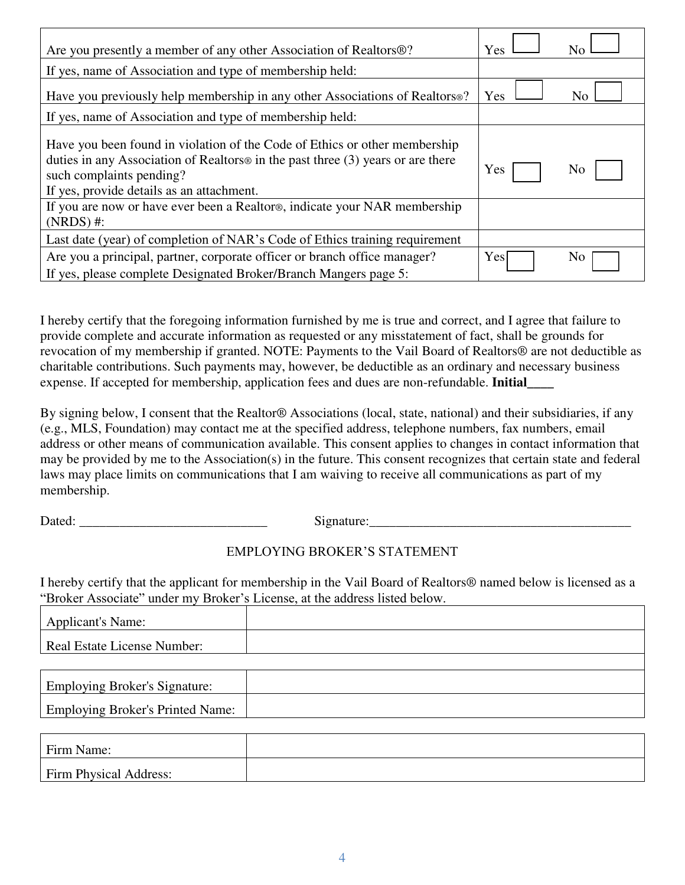| Are you presently a member of any other Association of Realtors <sup>®?</sup>                                                                                                                                                                      | Yes | No             |
|----------------------------------------------------------------------------------------------------------------------------------------------------------------------------------------------------------------------------------------------------|-----|----------------|
| If yes, name of Association and type of membership held:                                                                                                                                                                                           |     |                |
| Have you previously help membership in any other Associations of Realtors®?                                                                                                                                                                        | Yes | N <sub>0</sub> |
| If yes, name of Association and type of membership held:                                                                                                                                                                                           |     |                |
| Have you been found in violation of the Code of Ethics or other membership<br>duties in any Association of Realtors <sup>®</sup> in the past three (3) years or are there<br>such complaints pending?<br>If yes, provide details as an attachment. | Yes | N <sub>0</sub> |
| If you are now or have ever been a Realtor®, indicate your NAR membership<br>$(NRDS)$ #:                                                                                                                                                           |     |                |
| Last date (year) of completion of NAR's Code of Ethics training requirement                                                                                                                                                                        |     |                |
| Are you a principal, partner, corporate officer or branch office manager?<br>If yes, please complete Designated Broker/Branch Mangers page 5:                                                                                                      | Yes | N <sub>o</sub> |

I hereby certify that the foregoing information furnished by me is true and correct, and I agree that failure to provide complete and accurate information as requested or any misstatement of fact, shall be grounds for revocation of my membership if granted. NOTE: Payments to the Vail Board of Realtors® are not deductible as charitable contributions. Such payments may, however, be deductible as an ordinary and necessary business expense. If accepted for membership, application fees and dues are non-refundable. **Initial\_\_\_\_** 

By signing below, I consent that the Realtor® Associations (local, state, national) and their subsidiaries, if any (e.g., MLS, Foundation) may contact me at the specified address, telephone numbers, fax numbers, email address or other means of communication available. This consent applies to changes in contact information that may be provided by me to the Association(s) in the future. This consent recognizes that certain state and federal laws may place limits on communications that I am waiving to receive all communications as part of my membership.

Dated: \_\_\_\_\_\_\_\_\_\_\_\_\_\_\_\_\_\_\_\_\_\_\_\_\_\_\_\_ Signature:\_\_\_\_\_\_\_\_\_\_\_\_\_\_\_\_\_\_\_\_\_\_\_\_\_\_\_\_\_\_\_\_\_\_\_\_\_\_\_

## EMPLOYING BROKER'S STATEMENT

I hereby certify that the applicant for membership in the Vail Board of Realtors® named below is licensed as a "Broker Associate" under my Broker's License, at the address listed below.

| <b>Applicant's Name:</b>                |  |
|-----------------------------------------|--|
| <b>Real Estate License Number:</b>      |  |
|                                         |  |
| <b>Employing Broker's Signature:</b>    |  |
| <b>Employing Broker's Printed Name:</b> |  |
|                                         |  |
|                                         |  |

| Firm Name:             |  |
|------------------------|--|
| Firm Physical Address: |  |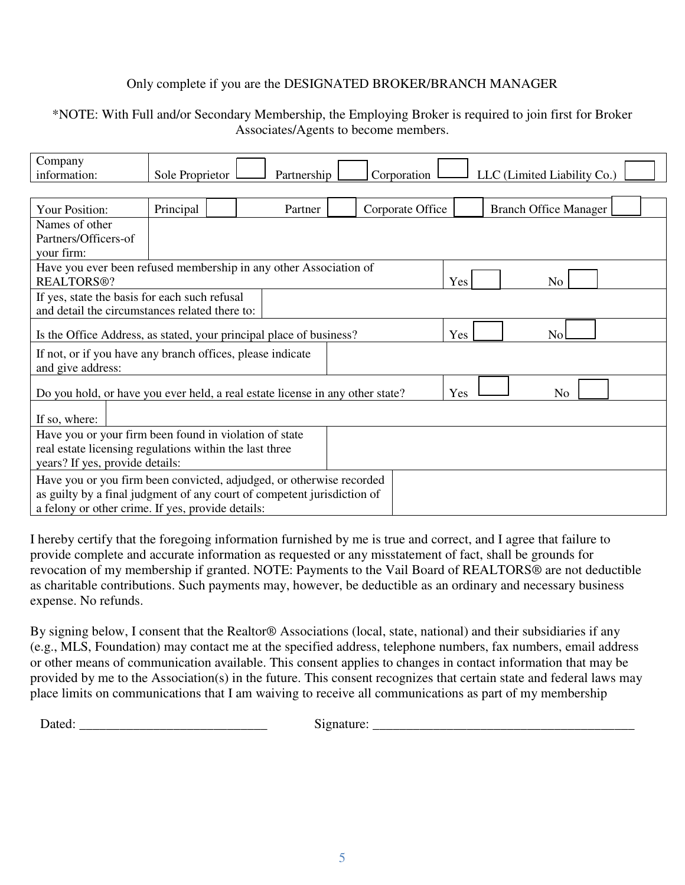#### Only complete if you are the DESIGNATED BROKER/BRANCH MANAGER

#### \*NOTE: With Full and/or Secondary Membership, the Employing Broker is required to join first for Broker Associates/Agents to become members.

| Company                                                                       |                 |             |  |                  |                              |  |  |
|-------------------------------------------------------------------------------|-----------------|-------------|--|------------------|------------------------------|--|--|
| information:                                                                  | Sole Proprietor | Partnership |  | Corporation      | LLC (Limited Liability Co.)  |  |  |
|                                                                               |                 |             |  |                  |                              |  |  |
| Your Position:                                                                | Principal       | Partner     |  | Corporate Office | <b>Branch Office Manager</b> |  |  |
| Names of other                                                                |                 |             |  |                  |                              |  |  |
| Partners/Officers-of                                                          |                 |             |  |                  |                              |  |  |
| your firm:                                                                    |                 |             |  |                  |                              |  |  |
| Have you ever been refused membership in any other Association of             |                 |             |  |                  |                              |  |  |
| <b>REALTORS®?</b>                                                             |                 |             |  |                  | Yes<br>N <sub>o</sub>        |  |  |
| If yes, state the basis for each such refusal                                 |                 |             |  |                  |                              |  |  |
| and detail the circumstances related there to:                                |                 |             |  |                  |                              |  |  |
| Is the Office Address, as stated, your principal place of business?           |                 |             |  |                  | Yes<br>N <sub>o</sub>        |  |  |
| If not, or if you have any branch offices, please indicate                    |                 |             |  |                  |                              |  |  |
| and give address:                                                             |                 |             |  |                  |                              |  |  |
| Do you hold, or have you ever held, a real estate license in any other state? |                 |             |  |                  | Yes<br>N <sub>0</sub>        |  |  |
| If so, where:                                                                 |                 |             |  |                  |                              |  |  |
| Have you or your firm been found in violation of state                        |                 |             |  |                  |                              |  |  |
| real estate licensing regulations within the last three                       |                 |             |  |                  |                              |  |  |
| years? If yes, provide details:                                               |                 |             |  |                  |                              |  |  |
| Have you or you firm been convicted, adjudged, or otherwise recorded          |                 |             |  |                  |                              |  |  |
| as guilty by a final judgment of any court of competent jurisdiction of       |                 |             |  |                  |                              |  |  |
| a felony or other crime. If yes, provide details:                             |                 |             |  |                  |                              |  |  |

I hereby certify that the foregoing information furnished by me is true and correct, and I agree that failure to provide complete and accurate information as requested or any misstatement of fact, shall be grounds for revocation of my membership if granted. NOTE: Payments to the Vail Board of REALTORS® are not deductible as charitable contributions. Such payments may, however, be deductible as an ordinary and necessary business expense. No refunds.

By signing below, I consent that the Realtor® Associations (local, state, national) and their subsidiaries if any (e.g., MLS, Foundation) may contact me at the specified address, telephone numbers, fax numbers, email address or other means of communication available. This consent applies to changes in contact information that may be provided by me to the Association(s) in the future. This consent recognizes that certain state and federal laws may place limits on communications that I am waiving to receive all communications as part of my membership

Dated: \_\_\_\_\_\_\_\_\_\_\_\_\_\_\_\_\_\_\_\_\_\_\_\_\_\_\_\_ Signature: \_\_\_\_\_\_\_\_\_\_\_\_\_\_\_\_\_\_\_\_\_\_\_\_\_\_\_\_\_\_\_\_\_\_\_\_\_\_\_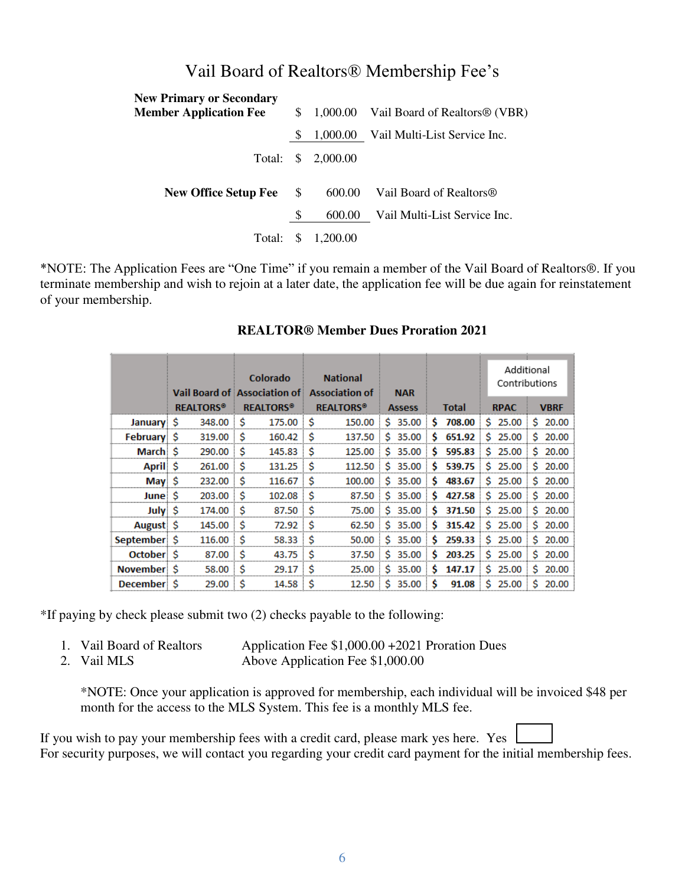| <b>New Primary or Secondary</b><br><b>Member Application Fee</b> | $\mathbb{S}$ |          | 1,000.00 Vail Board of Realtors <sup>®</sup> (VBR) |
|------------------------------------------------------------------|--------------|----------|----------------------------------------------------|
|                                                                  |              |          |                                                    |
|                                                                  | S            |          | 1,000.00 Vail Multi-List Service Inc.              |
| Total: \$                                                        |              | 2,000.00 |                                                    |
| <b>New Office Setup Fee</b>                                      | <sup>S</sup> | 600.00   | Vail Board of Realtors <sup>®</sup>                |
|                                                                  | \$           | 600.00   | Vail Multi-List Service Inc.                       |
| Total:                                                           | S            | 1,200.00 |                                                    |

## Vail Board of Realtors® Membership Fee's

\*NOTE: The Application Fees are "One Time" if you remain a member of the Vail Board of Realtors®. If you terminate membership and wish to rejoin at a later date, the application fee will be due again for reinstatement of your membership.

|              |                             |                             |                                             |               |             |             | Additional    |
|--------------|-----------------------------|-----------------------------|---------------------------------------------|---------------|-------------|-------------|---------------|
|              |                             | <b>Colorado</b>             | <b>National</b>                             |               |             |             | Contributions |
|              |                             |                             | Vail Board of Association of Association of | <b>NAR</b>    |             |             |               |
|              | <b>REALTORS<sup>®</sup></b> | <b>REALTORS<sup>®</sup></b> | <b>REALTORS<sup>®</sup></b>                 | <b>Assess</b> | Total       | <b>RPAC</b> | <b>VBRF</b>   |
| January \$   | 348.00                      | $175.00$ \$<br>S            | 150.00                                      | Ŝ.<br>35.00   | 708.00<br>Ŝ | Ŝ.<br>25.00 | 20.00<br>S.   |
| February \$  | 319.00                      | S<br>$160.42$ \$            | 137.50                                      | 35.00<br>Ŝ.   | 651.92<br>s | 25.00<br>Ŝ. | Ŝ.<br>20.00   |
| March \$     | 290.00                      | -S<br>145.83                | ΙŜ<br>125.00                                | s<br>35.00    | Ŝ<br>595.83 | Ŝ.<br>25.00 | Ŝ.<br>20.00   |
| April \$     | 261.00                      | .Ŝ<br>$131.25$ \$           | 112.50                                      | Ŝ.<br>35.00   | Ŝ<br>539.75 | \$25.00     | \$20.00       |
| $May \xi$    | 232.00                      | Ŝ<br>116.67 <sup>°</sup>    | 100.00                                      | Ŝ.<br>35.00   | Ŝ<br>483.67 | Ŝ.<br>25.00 | S.<br>20.00   |
| June S       | 203.00                      | -S<br>102.08                | -Ŝ<br>87.50                                 | $$35.00$ \$   | 427.58      | \$25.00     | Ŝ.<br>20.00   |
| July \$      | 174.00                      | 87.50 \$<br>Ś               | 75.00                                       | \$35.00       | Ŝ<br>371.50 | \$25.00     | \$20.00       |
| August \$    | 145.00                      | Ŝ<br>72.92 S                | 62.50                                       | 35.00<br>S.   | 315.42<br>Ŝ | Ŝ.<br>25.00 | S.<br>20.00   |
| September    | 116.00                      | -Ŝ<br>58.33                 | -Ŝ<br>50.00                                 | Ŝ.<br>35.00   | Ŝ<br>259.33 | \$25.00     | \$20.00       |
| October \$   | 87.00                       | Ś<br>$43.75$ \$             | 37.50                                       | Ŝ.<br>35.00   | s<br>203.25 | \$25.00     | \$20.00       |
| November: \$ | 58.00                       | Ŝ<br>29.17                  | Ŝ<br>25.00                                  | 35.00<br>s    | s<br>147.17 | Ś.<br>25.00 | S.<br>20.00   |
| December: S  | 29.00                       | Ŝ<br>$14.58$ \$             | 12.50                                       | Ŝ.<br>35.00   | Ŝ<br>91.08  | \$25.00     | \$20.00       |

#### **REALTOR® Member Dues Proration 2021**

\*If paying by check please submit two (2) checks payable to the following:

- 1. Vail Board of Realtors Application Fee \$1,000.00 +2021 Proration Dues
- 2. Vail MLS Above Application Fee \$1,000.00

\*NOTE: Once your application is approved for membership, each individual will be invoiced \$48 per month for the access to the MLS System. This fee is a monthly MLS fee.

If you wish to pay your membership fees with a credit card, please mark yes here. Yes For security purposes, we will contact you regarding your credit card payment for the initial membership fees.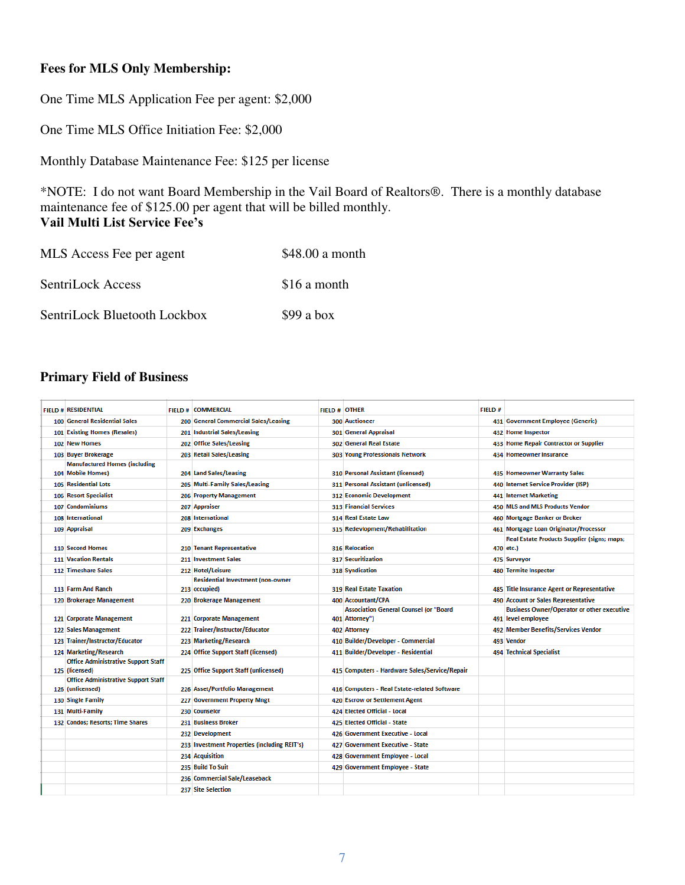#### **Fees for MLS Only Membership:**

One Time MLS Application Fee per agent: \$2,000

One Time MLS Office Initiation Fee: \$2,000

Monthly Database Maintenance Fee: \$125 per license

\*NOTE: I do not want Board Membership in the Vail Board of Realtors®. There is a monthly database maintenance fee of \$125.00 per agent that will be billed monthly. **Vail Multi List Service Fee's**

| MLS Access Fee per agent     | \$48.00 a month |
|------------------------------|-----------------|
| SentriLock Access            | \$16 a month    |
| SentriLock Bluetooth Lockbox | $$99$ a box     |

### **Primary Field of Business**

| <b>FIELD # RESIDENTIAL</b>                 | <b>FIELD # COMMERCIAL</b>                    | <b>FIELD # OTHER</b> |                                                                 | FIELD# |                                                                         |
|--------------------------------------------|----------------------------------------------|----------------------|-----------------------------------------------------------------|--------|-------------------------------------------------------------------------|
| 100 General Residential Sales              | 200 General Commercial Sales/Leasing         |                      | <b>300 Auctioneer</b>                                           |        | 431 Government Employee (Generic)                                       |
| 101 Existing Homes (Resales)               | 201 Industrial Sales/Leasing                 |                      | 301 General Appraisal                                           |        | 432 Home Inspector                                                      |
| 102 New Homes                              | 202 Office Sales/Leasing                     |                      | 302 General Real Estate                                         |        | 433 Home Repair Contractor or Supplier                                  |
| 103 Buyer Brokerage                        | 203 Retail Sales/Leasing                     |                      | 303 Young Professionals Network                                 |        | 434 Homeowner Insurance                                                 |
| <b>Manufactured Homes (including</b>       |                                              |                      |                                                                 |        |                                                                         |
| 104 Mobile Homes)                          | 204 Land Sales/Leasing                       |                      | 310 Personal Assistant (licensed)                               |        | 435 Homeowner Warranty Sales                                            |
| 105 Residential Lots                       | 205 Multi-Family Sales/Leasing               |                      | 311 Personal Assistant (unlicensed)                             |        | 440 Internet Service Provider (ISP)                                     |
| 106 Resort Specialist                      | 206 Property Management                      |                      | 312 Economic Development                                        |        | 441 Internet Marketing                                                  |
| 107 Condominiums                           | 207 Appraiser                                |                      | <b>313 Financial Services</b>                                   |        | 450 MLS and MLS Products Vendor                                         |
| 108 International                          | 208 International                            |                      | <b>314 Real Estate Law</b>                                      |        | 460 Mortgage Banker or Broker                                           |
| 109 Appraisal                              | 209 Exchanges                                |                      | 315 Redevlopment/Rehabilitation                                 |        | 461 Mortgage Loan Originator/Processor                                  |
|                                            |                                              |                      |                                                                 |        | <b>Real Estate Products Supplier (signs; maps;</b>                      |
| 110 Second Homes                           | 210 Tenant Representative                    |                      | <b>316 Relocation</b>                                           |        | 470 etc.)                                                               |
| <b>111 Vacation Rentals</b>                | 211 Investment Sales                         |                      | <b>317 Securitization</b>                                       |        | 475 Surveyor                                                            |
| 112 Timeshare Sales                        | 212 Hotel/Leisure                            |                      | 318 Syndication                                                 |        | 480 Termite Inspector                                                   |
|                                            | <b>Residential Investment (non-owner</b>     |                      |                                                                 |        |                                                                         |
| 113 Farm And Ranch                         | 213 occupied)                                |                      | <b>319 Real Estate Taxation</b>                                 |        | 485 Title Insurance Agent or Representative                             |
| 120 Brokerage Management                   | 220 Brokerage Management                     |                      | 400 Accountant/CPA                                              |        | 490 Account or Sales Representative                                     |
| 121 Corporate Management                   | 221 Corporate Management                     |                      | <b>Association General Counsel (or "Board</b><br>401 Attorney") |        | <b>Business Owner/Operator or other executive</b><br>491 level employee |
| 122 Sales Management                       | 222 Trainer/Instructor/Educator              |                      | 402 Attorney                                                    |        | 492 Member Benefits/Services Vendor                                     |
| 123 Trainer/Instructor/Educator            | 223 Marketing/Research                       |                      | 410 Builder/Developer - Commercial                              |        | 493 Vendor                                                              |
| 124 Marketing/Research                     | 224 Office Support Staff (licensed)          |                      | 411 Builder/Developer - Residential                             |        | 494 Technical Specialist                                                |
| <b>Office Administrative Support Staff</b> |                                              |                      |                                                                 |        |                                                                         |
| 125 (licensed)                             | 225 Office Support Staff (unlicensed)        |                      | 415 Computers - Hardware Sales/Service/Repair                   |        |                                                                         |
| <b>Office Administrative Support Staff</b> |                                              |                      |                                                                 |        |                                                                         |
| 126 (unlicensed)                           | 226 Asset/Portfolio Management               |                      | 416 Computers - Real Estate-related Software                    |        |                                                                         |
| 130 Single Family                          | 227 Government Property Mngt                 |                      | 420 Escrow or Settlement Agent                                  |        |                                                                         |
| 131 Multi-Family                           | 230 Counselor                                |                      | 424 Elected Official - Local                                    |        |                                                                         |
| 132 Condos; Resorts; Time Shares           | 231 Business Broker                          |                      | 425 Elected Official - State                                    |        |                                                                         |
|                                            | 232 Development                              |                      | 426 Government Executive - Local                                |        |                                                                         |
|                                            | 233 Investment Properties (including REIT's) |                      | 427 Government Executive - State                                |        |                                                                         |
|                                            | 234 Acquisition                              |                      | 428 Government Employee - Local                                 |        |                                                                         |
|                                            | 235 Build To Suit                            |                      | 429 Government Employee - State                                 |        |                                                                         |
|                                            | 236 Commercial Sale/Leaseback                |                      |                                                                 |        |                                                                         |
|                                            | 237 Site Selection                           |                      |                                                                 |        |                                                                         |
|                                            |                                              |                      |                                                                 |        |                                                                         |